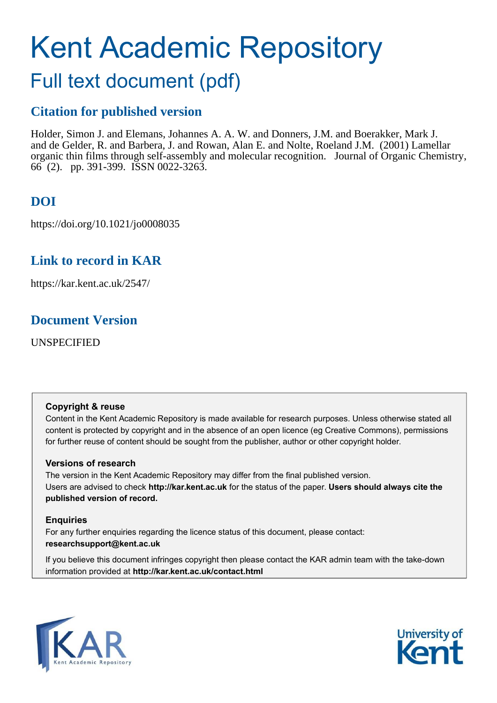# Kent Academic Repository

# Full text document (pdf)

# **Citation for published version**

Holder, Simon J. and Elemans, Johannes A. A. W. and Donners, J.M. and Boerakker, Mark J. and de Gelder, R. and Barbera, J. and Rowan, Alan E. and Nolte, Roeland J.M. (2001) Lamellar organic thin films through self-assembly and molecular recognition. Journal of Organic Chemistry, 66 (2). pp. 391-399. ISSN 0022-3263.

# **DOI**

https://doi.org/10.1021/jo0008035

# **Link to record in KAR**

https://kar.kent.ac.uk/2547/

## **Document Version**

UNSPECIFIED

## **Copyright & reuse**

Content in the Kent Academic Repository is made available for research purposes. Unless otherwise stated all content is protected by copyright and in the absence of an open licence (eg Creative Commons), permissions for further reuse of content should be sought from the publisher, author or other copyright holder.

## **Versions of research**

The version in the Kent Academic Repository may differ from the final published version. Users are advised to check **http://kar.kent.ac.uk** for the status of the paper. **Users should always cite the published version of record.**

## **Enquiries**

For any further enquiries regarding the licence status of this document, please contact: **researchsupport@kent.ac.uk**

If you believe this document infringes copyright then please contact the KAR admin team with the take-down information provided at **http://kar.kent.ac.uk/contact.html**



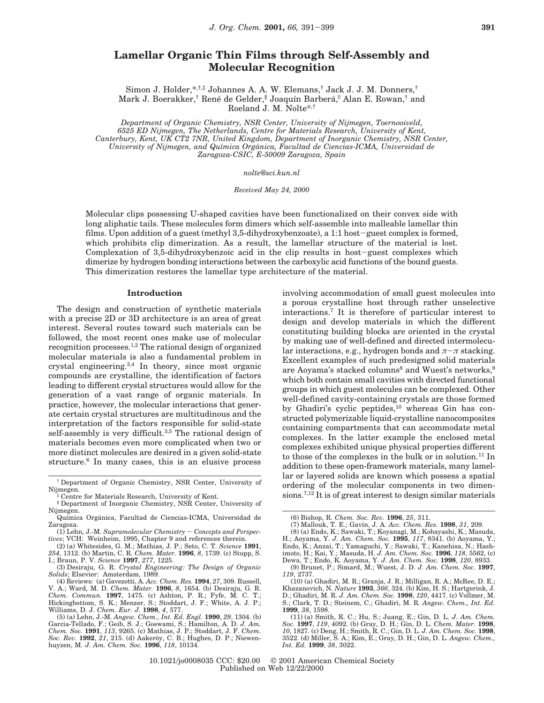## **Lamellar Organic Thin Films through Self-Assembly and Molecular Recognition**

Simon J. Holder,\*,†,‡ Johannes A. A. W. Elemans,† Jack J. J. M. Donners,† Mark J. Boerakker,<sup>†</sup> René de Gelder,<sup>§</sup> Joaquín Barberá,<sup>||</sup> Alan E. Rowan,<sup>†</sup> and Roeland J. M. Nolte\*,†

*Department of Organic Chemistry, NSR Center, University of Nijmegen, Toernooiveld, 6525 ED Nijmegen, The Netherlands, Centre for Materials Research, University of Kent, Canterbury, Kent, UK CT2 7NR, United Kingdom, Department of Inorganic Chemistry, NSR Center, University of Nijmegen, and Quı*´*mica Orga*´*nica, Facultad de Ciencias-ICMA, Universidad de Zaragoza-CSIC, E-50009 Zaragoza, Spain*

*nolte@sci.kun.nl*

*Received May 24, 2000*

Molecular clips possessing U-shaped cavities have been functionalized on their convex side with long aliphatic tails. These molecules form dimers which self-assemble into malleable lamellar thin films. Upon addition of a guest (methyl 3,5-dihydroxybenzoate), a 1:1 host-guest complex is formed, which prohibits clip dimerization. As a result, the lamellar structure of the material is lost. Complexation of 3,5-dihydroxybenzoic acid in the clip results in host-guest complexes which dimerize by hydrogen bonding interactions between the carboxylic acid functions of the bound guests. This dimerization restores the lamellar type architecture of the material.

#### **Introduction**

The design and construction of synthetic materials with a precise 2D or 3D architecture is an area of great interest. Several routes toward such materials can be followed, the most recent ones make use of molecular recognition processes.1,2 The rational design of organized molecular materials is also a fundamental problem in crystal engineering.3,4 In theory, since most organic compounds are crystalline, the identification of factors leading to different crystal structures would allow for the generation of a vast range of organic materials. In practice, however, the molecular interactions that generate certain crystal structures are multitudinous and the interpretation of the factors responsible for solid-state self-assembly is very difficult.<sup>3,5</sup> The rational design of materials becomes even more complicated when two or more distinct molecules are desired in a given solid-state structure.<sup>6</sup> In many cases, this is an elusive process

involving accommodation of small guest molecules into a porous crystalline host through rather unselective interactions.<sup>7</sup> It is therefore of particular interest to design and develop materials in which the different constituting building blocks are oriented in the crystal by making use of well-defined and directed intermolecular interactions, e.g., hydrogen bonds and  $\pi-\pi$  stacking. Excellent examples of such predesigned solid materials are Aoyama's stacked columns<sup>8</sup> and Wuest's networks,<sup>9</sup> which both contain small cavities with directed functional groups in which guest molecules can be complexed. Other well-defined cavity-containing crystals are those formed by Ghadiri's cyclic peptides,<sup>10</sup> whereas Gin has constructed polymerizable liquid-crystalline nanocomposites containing compartments that can accommodate metal complexes. In the latter example the enclosed metal complexes exhibited unique physical properties different to those of the complexes in the bulk or in solution.<sup>11</sup> In addition to these open-framework materials, many lamellar or layered solids are known which possess a spatial ordering of the molecular components in two dimensions.7,12 It is of great interest to design similar materials

<sup>†</sup> Department of Organic Chemistry, NSR Center, University of Nijmegen. ‡ Centre for Materials Research, University of Kent.

<sup>§</sup> Department of Inorganic Chemistry, NSR Center, University of Nijmegen. Química Orgánica, Facultad de Ciencias-ICMA, Universidad de

Zaragoza. (1) Lehn, J.-M. *Supramolecular Chemistry* - *Concepts and Perspec-*

*tives*; VCH: Weinheim, 1995, Chapter 9 and references therein.

<sup>(2) (</sup>a) Whitesides, G. M.; Mathias, J. P.; Seto, C. T. *Science* **1991**, *254*, 1312. (b) Martin, C. R. *Chem. Mater.* **1996**, *8*, 1739. (c) Stupp, S. I.; Braun, P. V. *Science* **1997**, *277*, 1225.

<sup>(3)</sup> Desiraju, G. R. *Crystal Engineering: The Design of Organic Solids*; Elsevier: Amsterdam, 1989.

<sup>(4)</sup> Reviews: (a) Gavezotti, A. *Acc. Chem. Res.* **1994**, *27*, 309. Russell, V. A.; Ward, M. D. Chem. Mater. 1996, 8, 1654. (b) Desiraju, G. R. Chem. Commun. 1997, 1475. (c) Ashton, P. R.; Fyfe, M. C. T.; Hickingbottom, S. K.; Menzer, S.; Stoddart, J. F.; White, A. J. P.;

Williams, D. J. *Chem. Eur. J.* **1998**, *4*, 577. (5) (a) Lehn, J.-M. *Angew. Chem., Int. Ed. Engl.* **1990**, *29*, 1304. (b) Garcia-Tellado, F.; Geib, S. J.; Goswami, S.; Hamilton, A. D. *J. Am. Chem. Soc.* **1991**, *113*, 9265. (c) Mathias, J. P.; Stoddart, J. F. *Chem. Soc. Rev.* **1992**, *21*, 215. (d) Aakeröy, C. B.; Hughes, D. P.; Niewenhuyzen, M. *J. Am. Chem. Soc.* **1996**, *118*, 10134.

<sup>(6)</sup> Bishop, R. *Chem. Soc. Rev.* **1996**, *25*, 311.

<sup>(7)</sup> Mallouk, T. E.; Gavin, J. A. *Acc. Chem. Res.* **1998**, *31*, 209. (8) (a) Endo, K.; Sawaki, T.; Koyanagi, M.; Kobayashi, K.; Masuda,

H.; Aoyama, Y. *J. Am. Chem. Soc.* **1995**, *117*, 8341. (b) Aoyama, Y.;<br>Endo, K.; Anzai, T.; Yamaguchi, Y.; Sawaki, T.; Kanehisa, N.; Hash-<br>imoto, H.; Kai, Y.; Masuda, H. *J. Am. Chem. Soc.* **1996**, *118*, 5562, (c) Dewa, T.; Endo, K. Aoyama, Y. *J. Am. Chem. Soc.* **1998**, *120*, 8933.

<sup>(9)</sup> Brunet, P.; Simard, M.; Wuest, J. D. *J. Am. Chem. Soc.* **1997**, *119*, 2737.

<sup>(10) (</sup>a) Ghadiri, M. R.; Granja, J. R.; Milligan, R. A.; McRee, D. E.; Khazanovich, N. *Nature* **1993**, *366*, 324. (b) Kim, H. S.; Hartgerink, J. D.; Ghadiri, M. R. *J. Am. Chem. Soc.* **1998**, *120*, 4417. (c) Vollmer, M. S.; Clark, T. D.; Steinem, C.; Ghadiri, M. R. *Angew. Chem., Int. Ed.* **1999**, *38*, 1598.

<sup>(11) (</sup>a) Smith, R. C.; Hu, S.; Juang, E.; Gin, D. L. *J. Am. Chem. Soc.* **1997**, *119*, 4092. (b) Gray, D. H.; Gin, D. L. *Chem. Mater.* **1998**, *10*, 1827. (c) Deng, H.; Smith, R. C.; Gin, D. L. *J. Am. Chem. Soc.* **1998**, 3522. (d) Miller, S. A.; Kim, E.; Gray, D. H.; Gin, D. L. *Angew. Chem., Int. Ed.* **1999**, *38*, 3022.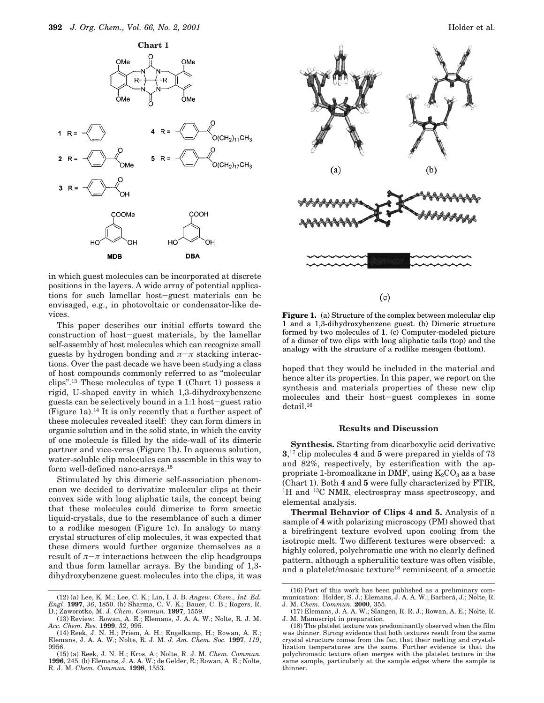

in which guest molecules can be incorporated at discrete positions in the layers. A wide array of potential applications for such lamellar host-guest materials can be envisaged, e.g., in photovoltaic or condensator-like devices.

This paper describes our initial efforts toward the construction of host-guest materials, by the lamellar self-assembly of host molecules which can recognize small guests by hydrogen bonding and  $\pi-\pi$  stacking interactions. Over the past decade we have been studying a class of host compounds commonly referred to as "molecular clips".<sup>13</sup> These molecules of type **1** (Chart 1) possess a rigid, U-shaped cavity in which 1,3-dihydroxybenzene guests can be selectively bound in a 1:1 host-guest ratio (Figure 1a).<sup>14</sup> It is only recently that a further aspect of these molecules revealed itself: they can form dimers in organic solution and in the solid state, in which the cavity of one molecule is filled by the side-wall of its dimeric partner and vice-versa (Figure 1b). In aqueous solution, water-soluble clip molecules can assemble in this way to form well-defined nano-arrays.<sup>15</sup>

Stimulated by this dimeric self-association phenomenon we decided to derivatize molecular clips at their convex side with long aliphatic tails, the concept being that these molecules could dimerize to form smectic liquid-crystals, due to the resemblance of such a dimer to a rodlike mesogen (Figure 1c). In analogy to many crystal structures of clip molecules, it was expected that these dimers would further organize themselves as a result of  $\pi-\pi$  interactions between the clip headgroups and thus form lamellar arrays. By the binding of 1,3 dihydroxybenzene guest molecules into the clips, it was



 $(c)$ 

**Figure 1.** (a) Structure of the complex between molecular clip **1** and a 1,3-dihydroxybenzene guest. (b) Dimeric structure formed by two molecules of **1**. (c) Computer-modeled picture of a dimer of two clips with long aliphatic tails (top) and the analogy with the structure of a rodlike mesogen (bottom).

hoped that they would be included in the material and hence alter its properties. In this paper, we report on the synthesis and materials properties of these new clip molecules and their host-guest complexes in some detail.<sup>16</sup>

#### **Results and Discussion**

**Synthesis.** Starting from dicarboxylic acid derivative **3**, <sup>17</sup> clip molecules **4** and **5** were prepared in yields of 73 and 82%, respectively, by esterification with the appropriate 1-bromoalkane in DMF, using  $K_2CO_3$  as a base (Chart 1). Both **4** and **5** were fully characterized by FTIR, <sup>1</sup>H and <sup>13</sup>C NMR, electrospray mass spectroscopy, and elemental analysis.

**Thermal Behavior of Clips 4 and 5.** Analysis of a sample of **4** with polarizing microscopy (PM) showed that a birefringent texture evolved upon cooling from the isotropic melt. Two different textures were observed: a highly colored, polychromatic one with no clearly defined pattern, although a spherulitic texture was often visible, and a platelet/mosaic texture<sup>18</sup> reminiscent of a smectic

<sup>(12) (</sup>a) Lee, K. M.; Lee, C. K.; Lin, I. J. B. *Angew. Chem., Int. Ed. Engl*. **1997**, *36*, 1850. (b) Sharma, C. V. K.; Bauer, C. B.; Rogers, R. D.; Zaworotko, M. J. *Chem. Commun.* **1997**, 1559.

<sup>(13)</sup> Review: Rowan, A. E.; Elemans, J. A. A. W.; Nolte, R. J. M. *Acc. Chem. Res.* **1999**, *32*, 995.

<sup>(14)</sup> Reek, J. N. H.; Priem, A. H.; Engelkamp, H.; Rowan, A. E.; Elemans, J. A. A. W.; Nolte, R. J. M. *J. Am. Chem. Soc.* **1997**, *119*, 9956.

<sup>(15) (</sup>a) Reek, J. N. H.; Kros, A.; Nolte, R. J. M. *Chem. Commun.* **1996**, 245. (b) Elemans, J. A. A. W.; de Gelder, R.; Rowan, A. E.; Nolte, R. J. M. *Chem. Commun.* **1998**, 1553.

<sup>(16)</sup> Part of this work has been published as a preliminary communication: Holder, S. J.; Elemans, J. A. A. W.; Barberá, J.; Nolte, R. J. M. *Chem. Commun.* **2000**, 355.

<sup>(17)</sup> Elemans, J. A. A. W.; Slangen, R. R. J.; Rowan, A. E.; Nolte, R. J. M. Manuscript in preparation.

<sup>(18)</sup> The platelet texture was predominantly observed when the film was thinner. Strong evidence that both textures result from the same crystal structure comes from the fact that their melting and crystallization temperatures are the same. Further evidence is that the polychromatic texture often merges with the platelet texture in the same sample, particularly at the sample edges where the sample is thinner.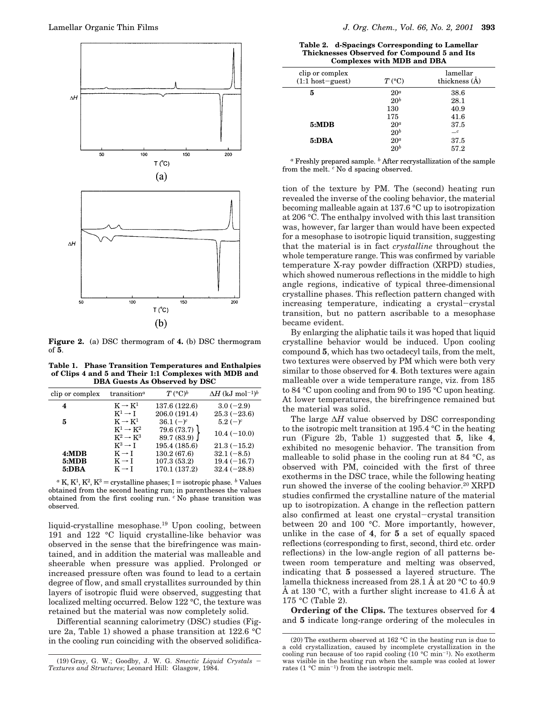

**Figure 2.** (a) DSC thermogram of **4.** (b) DSC thermogram of **5**.

**Table 1. Phase Transition Temperatures and Enthalpies of Clips 4 and 5 and Their 1:1 Complexes with MDB and DBA Guests As Observed by DSC**

| clip or complex | transition <sup><math>a</math></sup> | $T({}^{\circ}C)^b$ | $\Delta H$ (kJ mol <sup>-1)b</sup> |
|-----------------|--------------------------------------|--------------------|------------------------------------|
| 4               | $K \rightarrow K^1$                  | 137.6 (122.6)      | $3.0(-2.9)$                        |
|                 | $K^1 \rightarrow \text{I}$           | 206.0 (191.4)      | $25.3(-23.6)$                      |
| 5               | $K \rightarrow K^1$                  | $36.1(-)^c$        | $5.2(-)^c$                         |
|                 | $K^1 \rightarrow K^2$                | 79.6(73.7)         | $10.4(-10.0)$                      |
|                 | $K^2 \rightarrow K^3$                | 89.7 (83.9)        |                                    |
|                 | $K^3 \rightarrow I$                  | 195.4 (185.6)      | $21.3(-15.2)$                      |
| 4:MDB           | $K \rightarrow I$                    | 130.2 (67.6)       | $32.1(-8.5)$                       |
| 5:MDB           | $K \rightarrow I$                    | 107.3(53.2)        | $19.4(-16.7)$                      |
| 5:DBA           | $K \rightarrow I$                    | 170.1 (137.2)      | $32.4(-28.8)$                      |
|                 |                                      |                    |                                    |

 $a K$ ,  $K^1$ ,  $K^2$ ,  $K^3$  = crystalline phases; I = isotropic phase. *b* Values obtained from the second heating run; in parentheses the values obtained from the first cooling run. *<sup>c</sup>* No phase transition was observed.

liquid-crystalline mesophase.<sup>19</sup> Upon cooling, between 191 and 122 °C liquid crystalline-like behavior was observed in the sense that the birefringence was maintained, and in addition the material was malleable and sheerable when pressure was applied. Prolonged or increased pressure often was found to lead to a certain degree of flow, and small crystallites surrounded by thin layers of isotropic fluid were observed, suggesting that localized melting occurred. Below 122 °C, the texture was retained but the material was now completely solid.

Differential scanning calorimetry (DSC) studies (Figure 2a, Table 1) showed a phase transition at 122.6 °C in the cooling run coinciding with the observed solidifica-

| Table 2. d-Spacings Corresponding to Lamellar |
|-----------------------------------------------|
| Thicknesses Observed for Compound 5 and Its   |
| <b>Complexes with MDB and DBA</b>             |

| clip or complex<br>$(1:1 host-guest)$ | $T({}^{\circ}C)$ | lamellar<br>thickness (A) |
|---------------------------------------|------------------|---------------------------|
| 5                                     | $20^a$           | 38.6                      |
|                                       | 20 <sup>b</sup>  | 28.1                      |
|                                       | 130              | 40.9                      |
|                                       | 175              | 41.6                      |
| 5:MDB                                 | 20 <sup>a</sup>  | 37.5                      |
|                                       | $20^b$           | $-c$                      |
| 5:DBA                                 | 20 <sup>a</sup>  | 37.5                      |
|                                       | 20 <sup>b</sup>  | 57.2                      |

*<sup>a</sup>* Freshly prepared sample. *<sup>b</sup>* After recrystallization of the sample from the melt. *<sup>c</sup>* No d spacing observed.

tion of the texture by PM. The (second) heating run revealed the inverse of the cooling behavior, the material becoming malleable again at 137.6 °C up to isotropization at 206 °C. The enthalpy involved with this last transition was, however, far larger than would have been expected for a mesophase to isotropic liquid transition, suggesting that the material is in fact *crystalline* throughout the whole temperature range. This was confirmed by variable temperature X-ray powder diffraction (XRPD) studies, which showed numerous reflections in the middle to high angle regions, indicative of typical three-dimensional crystalline phases. This reflection pattern changed with increasing temperature, indicating a crystal-crystal transition, but no pattern ascribable to a mesophase became evident.

By enlarging the aliphatic tails it was hoped that liquid crystalline behavior would be induced. Upon cooling compound **5**, which has two octadecyl tails, from the melt, two textures were observed by PM which were both very similar to those observed for **4**. Both textures were again malleable over a wide temperature range, viz. from 185 to 84 °C upon cooling and from 90 to 195 °C upon heating. At lower temperatures, the birefringence remained but the material was solid.

The large ∆*H* value observed by DSC corresponding to the isotropic melt transition at 195.4 °C in the heating run (Figure 2b, Table 1) suggested that **5**, like **4**, exhibited no mesogenic behavior. The transition from malleable to solid phase in the cooling run at 84 °C, as observed with PM, coincided with the first of three exotherms in the DSC trace, while the following heating run showed the inverse of the cooling behavior.<sup>20</sup> XRPD studies confirmed the crystalline nature of the material up to isotropization. A change in the reflection pattern also confirmed at least one crystal-crystal transition between 20 and 100 °C. More importantly, however, unlike in the case of **4**, for **5** a set of equally spaced reflections (corresponding to first, second, third etc. order reflections) in the low-angle region of all patterns between room temperature and melting was observed, indicating that **5** possessed a layered structure. The lamella thickness increased from 28.1 Å at 20 °C to 40.9 Å at 130 °C, with a further slight increase to 41.6 Å at 175 °C (Table 2).

**Ordering of the Clips.** The textures observed for **4** and **5** indicate long-range ordering of the molecules in

<sup>(19)</sup> Gray, G. W.; Goodby, J. W. G. *Smectic Liquid Crystals* - *Textures and Structures*; Leonard Hill: Glasgow, 1984.

<sup>(20)</sup> The exotherm observed at 162 °C in the heating run is due to a cold crystallization, caused by incomplete crystallization in the cooling run because of too rapid cooling  $(10 °C min<sup>-1</sup>)$ . No exotherm was visible in the heating run when the sample was cooled at lower rates (1 °C min<sup>-1</sup>) from the isotropic melt.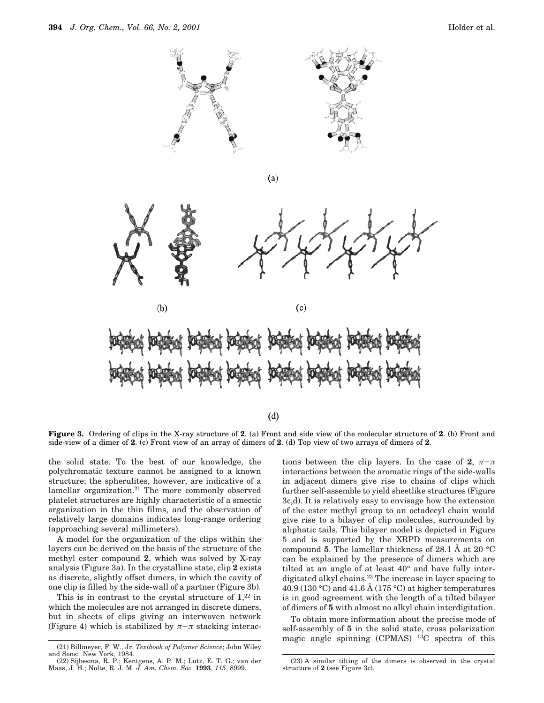

 $(a)$ 





 $(d)$ 

**Figure 3.** Ordering of clips in the X-ray structure of **2**. (a) Front and side view of the molecular structure of **2**. (b) Front and side-view of a dimer of **2**. (c) Front view of an array of dimers of **2**. (d) Top view of two arrays of dimers of **2**.

the solid state. To the best of our knowledge, the polychromatic texture cannot be assigned to a known structure; the spherulites, however, are indicative of a lamellar organization.<sup>21</sup> The more commonly observed platelet structures are highly characteristic of a smectic organization in the thin films, and the observation of relatively large domains indicates long-range ordering (approaching several millimeters).

A model for the organization of the clips within the layers can be derived on the basis of the structure of the methyl ester compound **2**, which was solved by X-ray analysis (Figure 3a). In the crystalline state, clip **2** exists as discrete, slightly offset dimers, in which the cavity of one clip is filled by the side-wall of a partner (Figure 3b).

This is in contrast to the crystal structure of  $1,22$  in which the molecules are not arranged in discrete dimers, but in sheets of clips giving an interwoven network (Figure 4) which is stabilized by  $\pi-\pi$  stacking interactions between the clip layers. In the case of **2**,  $\pi-\pi$ interactions between the aromatic rings of the side-walls in adjacent dimers give rise to chains of clips which further self-assemble to yield sheetlike structures (Figure 3c,d). It is relatively easy to envisage how the extension of the ester methyl group to an octadecyl chain would give rise to a bilayer of clip molecules, surrounded by aliphatic tails. This bilayer model is depicted in Figure 5 and is supported by the XRPD measurements on compound **5**. The lamellar thickness of 28.1 Å at 20 °C can be explained by the presence of dimers which are tilted at an angle of at least 40° and have fully interdigitated alkyl chains.<sup>23</sup> The increase in layer spacing to 40.9 (130 °C) and 41.6 Å (175 °C) at higher temperatures is in good agreement with the length of a tilted bilayer of dimers of **5** with almost no alkyl chain interdigitation.

To obtain more information about the precise mode of self-assembly of **5** in the solid state, cross polarization magic angle spinning (CPMAS) <sup>13</sup>C spectra of this

<sup>(21)</sup> Billmeyer, F. W., Jr. *Textbook of Polymer Science*; John Wiley and Sons: New York, 1984.

<sup>(22)</sup> Sijbesma, R. P.; Kentgens, A. P. M.; Lutz, E. T. G.; van der Maas, J. H.; Nolte, R. J. M. *J. Am. Chem. Soc.* **1993**, *115*, 8999.

<sup>(23)</sup> A similar tilting of the dimers is observed in the crystal structure of **2** (see Figure 3c).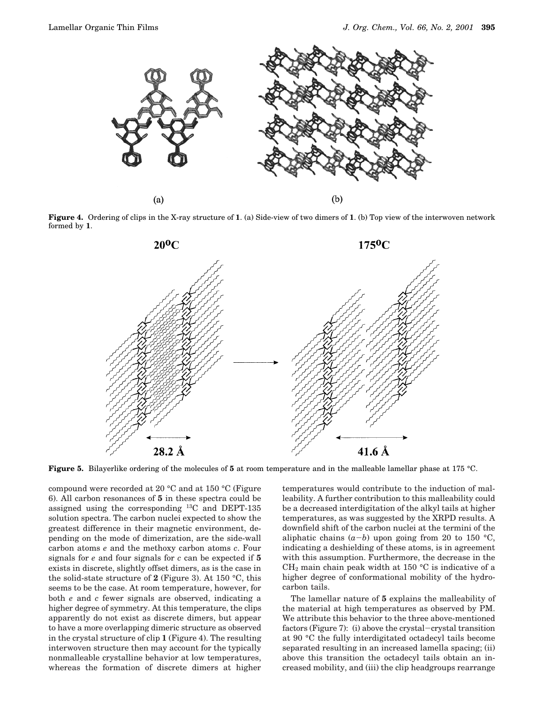

**Figure 4.** Ordering of clips in the X-ray structure of **1**. (a) Side-view of two dimers of **1**. (b) Top view of the interwoven network formed by **1**.



**Figure 5.** Bilayerlike ordering of the molecules of **5** at room temperature and in the malleable lamellar phase at 175 °C.

compound were recorded at 20 °C and at 150 °C (Figure 6). All carbon resonances of **5** in these spectra could be assigned using the corresponding <sup>13</sup>C and DEPT-135 solution spectra. The carbon nuclei expected to show the greatest difference in their magnetic environment, depending on the mode of dimerization, are the side-wall carbon atoms *e* and the methoxy carbon atoms *c*. Four signals for *e* and four signals for *c* can be expected if **5** exists in discrete, slightly offset dimers, as is the case in the solid-state structure of **2** (Figure 3). At 150 °C, this seems to be the case. At room temperature, however, for both *e* and *c* fewer signals are observed, indicating a higher degree of symmetry. At this temperature, the clips apparently do not exist as discrete dimers, but appear to have a more overlapping dimeric structure as observed in the crystal structure of clip **1** (Figure 4). The resulting interwoven structure then may account for the typically nonmalleable crystalline behavior at low temperatures, whereas the formation of discrete dimers at higher

temperatures would contribute to the induction of malleability. A further contribution to this malleability could be a decreased interdigitation of the alkyl tails at higher temperatures, as was suggested by the XRPD results. A downfield shift of the carbon nuclei at the termini of the aliphatic chains  $(a-b)$  upon going from 20 to 150 °C, indicating a deshielding of these atoms, is in agreement with this assumption. Furthermore, the decrease in the  $CH<sub>2</sub>$  main chain peak width at 150 °C is indicative of a higher degree of conformational mobility of the hydrocarbon tails.

The lamellar nature of **5** explains the malleability of the material at high temperatures as observed by PM. We attribute this behavior to the three above-mentioned factors (Figure 7): (i) above the crystal-crystal transition at 90 °C the fully interdigitated octadecyl tails become separated resulting in an increased lamella spacing; (ii) above this transition the octadecyl tails obtain an increased mobility, and (iii) the clip headgroups rearrange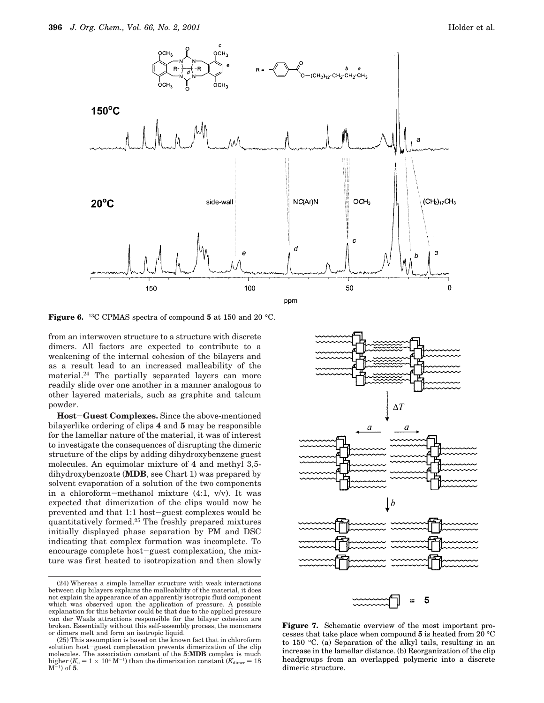

**Figure 6.** <sup>13</sup>C CPMAS spectra of compound **5** at 150 and 20 °C.

from an interwoven structure to a structure with discrete dimers. All factors are expected to contribute to a weakening of the internal cohesion of the bilayers and as a result lead to an increased malleability of the material.<sup>24</sup> The partially separated layers can more readily slide over one another in a manner analogous to other layered materials, such as graphite and talcum powder.

**Host**-**Guest Complexes.** Since the above-mentioned bilayerlike ordering of clips **4** and **5** may be responsible for the lamellar nature of the material, it was of interest to investigate the consequences of disrupting the dimeric structure of the clips by adding dihydroxybenzene guest molecules. An equimolar mixture of **4** and methyl 3,5 dihydroxybenzoate (**MDB**, see Chart 1) was prepared by solvent evaporation of a solution of the two components in a chloroform-methanol mixture (4:1, v/v). It was expected that dimerization of the clips would now be prevented and that 1:1 host-guest complexes would be quantitatively formed.<sup>25</sup> The freshly prepared mixtures initially displayed phase separation by PM and DSC indicating that complex formation was incomplete. To encourage complete host-guest complexation, the mixture was first heated to isotropization and then slowly

<sup>(25)</sup> This assumption is based on the known fact that in chloroform solution host-guest complexation prevents dimerization of the clip molecules. The association constant of the **5**:**MDB** complex is much higher ( $K_a = 1 \times 10^4 \text{ M}^{-1}$ ) than the dimerization constant ( $K_{\text{dimer}} = 18 \text{ M}^{-1}$ ) of **5**.



**Figure 7.** Schematic overview of the most important processes that take place when compound **5** is heated from 20 °C to 150 °C. (a) Separation of the alkyl tails, resulting in an increase in the lamellar distance. (b) Reorganization of the clip headgroups from an overlapped polymeric into a discrete dimeric structure.

<sup>(24)</sup> Whereas a simple lamellar structure with weak interactions between clip bilayers explains the malleability of the material, it does not explain the appearance of an apparently isotropic fluid component which was observed upon the application of pressure. A possible explanation for this behavior could be that due to the applied pressure van der Waals attractions responsible for the bilayer cohesion are broken. Essentially without this self-assembly process, the monomers or dimers melt and form an isotropic liquid.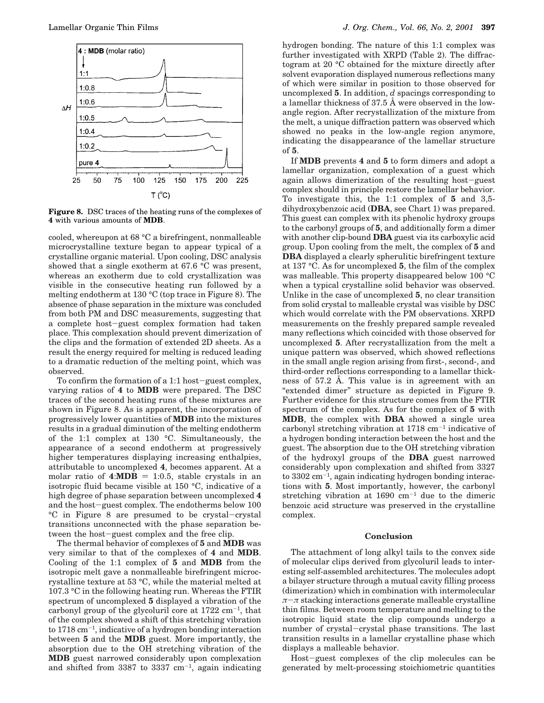

**Figure 8.** DSC traces of the heating runs of the complexes of **4** with various amounts of **MDB**.

cooled, whereupon at 68 °C a birefringent, nonmalleable microcrystalline texture began to appear typical of a crystalline organic material. Upon cooling, DSC analysis showed that a single exotherm at 67.6 °C was present, whereas an exotherm due to cold crystallization was visible in the consecutive heating run followed by a melting endotherm at 130 °C (top trace in Figure 8). The absence of phase separation in the mixture was concluded from both PM and DSC measurements, suggesting that a complete host-guest complex formation had taken place. This complexation should prevent dimerization of the clips and the formation of extended 2D sheets. As a result the energy required for melting is reduced leading to a dramatic reduction of the melting point, which was observed.

To confirm the formation of a 1:1 host-guest complex, varying ratios of **4** to **MDB** were prepared. The DSC traces of the second heating runs of these mixtures are shown in Figure 8. As is apparent, the incorporation of progressively lower quantities of **MDB** into the mixtures results in a gradual diminution of the melting endotherm of the 1:1 complex at 130 °C. Simultaneously, the appearance of a second endotherm at progressively higher temperatures displaying increasing enthalpies, attributable to uncomplexed **4**, becomes apparent. At a molar ratio of  $4:MDB = 1:0.5$ , stable crystals in an isotropic fluid became visible at 150 °C, indicative of a high degree of phase separation between uncomplexed **4** and the host-guest complex. The endotherms below 100 °C in Figure 8 are presumed to be crystal-crystal transitions unconnected with the phase separation between the host-guest complex and the free clip.

The thermal behavior of complexes of **5** and **MDB** was very similar to that of the complexes of **4** and **MDB**. Cooling of the 1:1 complex of **5** and **MDB** from the isotropic melt gave a nonmalleable birefringent microcrystalline texture at 53 °C, while the material melted at 107.3 °C in the following heating run. Whereas the FTIR spectrum of uncomplexed **5** displayed a vibration of the carbonyl group of the glycoluril core at 1722 cm-<sup>1</sup> , that of the complex showed a shift of this stretching vibration to  $1718 \text{ cm}^{-1}$ , indicative of a hydrogen bonding interaction between **5** and the **MDB** guest. More importantly, the absorption due to the OH stretching vibration of the **MDB** guest narrowed considerably upon complexation and shifted from  $3387$  to  $3337$  cm<sup>-1</sup>, again indicating

hydrogen bonding. The nature of this 1:1 complex was further investigated with XRPD (Table 2). The diffractogram at 20 °C obtained for the mixture directly after solvent evaporation displayed numerous reflections many of which were similar in position to those observed for uncomplexed **5**. In addition, *d* spacings corresponding to a lamellar thickness of 37.5 Å were observed in the lowangle region. After recrystallization of the mixture from the melt, a unique diffraction pattern was observed which showed no peaks in the low-angle region anymore, indicating the disappearance of the lamellar structure of **5**.

If **MDB** prevents **4** and **5** to form dimers and adopt a lamellar organization, complexation of a guest which again allows dimerization of the resulting host-guest complex should in principle restore the lamellar behavior. To investigate this, the 1:1 complex of **5** and 3,5 dihydroxybenzoic acid (**DBA**, see Chart 1) was prepared. This guest can complex with its phenolic hydroxy groups to the carbonyl groups of **5**, and additionally form a dimer with another clip-bound **DBA** guest via its carboxylic acid group. Upon cooling from the melt, the complex of **5** and **DBA** displayed a clearly spherulitic birefringent texture at 137 °C. As for uncomplexed **5**, the film of the complex was malleable. This property disappeared below 100 °C when a typical crystalline solid behavior was observed. Unlike in the case of uncomplexed **5**, no clear transition from solid crystal to malleable crystal was visible by DSC which would correlate with the PM observations. XRPD measurements on the freshly prepared sample revealed many reflections which coincided with those observed for uncomplexed **5**. After recrystallization from the melt a unique pattern was observed, which showed reflections in the small angle region arising from first-, second-, and third-order reflections corresponding to a lamellar thickness of 57.2 Å. This value is in agreement with an "extended dimer" structure as depicted in Figure 9. Further evidence for this structure comes from the FTIR spectrum of the complex. As for the complex of **5** with **MDB**, the complex with **DBA** showed a single urea carbonyl stretching vibration at 1718 cm-<sup>1</sup> indicative of a hydrogen bonding interaction between the host and the guest. The absorption due to the OH stretching vibration of the hydroxyl groups of the **DBA** guest narrowed considerably upon complexation and shifted from 3327 to  $3302 \text{ cm}^{-1}$ , again indicating hydrogen bonding interactions with **5**. Most importantly, however, the carbonyl stretching vibration at  $1690 \text{ cm}^{-1}$  due to the dimeric benzoic acid structure was preserved in the crystalline complex.

#### **Conclusion**

The attachment of long alkyl tails to the convex side of molecular clips derived from glycoluril leads to interesting self-assembled architectures. The molecules adopt a bilayer structure through a mutual cavity filling process (dimerization) which in combination with intermolecular  $\pi-\pi$  stacking interactions generate malleable crystalline thin films. Between room temperature and melting to the isotropic liquid state the clip compounds undergo a number of crystal-crystal phase transitions. The last transition results in a lamellar crystalline phase which displays a malleable behavior.

Host-guest complexes of the clip molecules can be generated by melt-processing stoichiometric quantities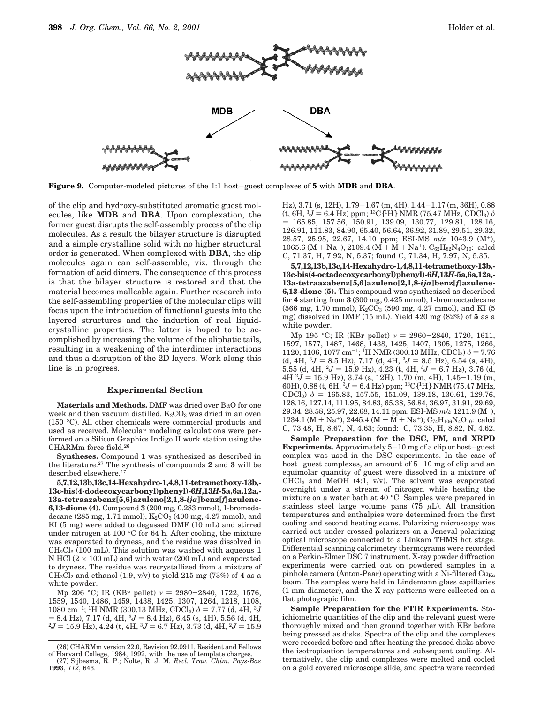

**Figure 9.** Computer-modeled pictures of the 1:1 host-guest complexes of **5** with **MDB** and **DBA**.

of the clip and hydroxy-substituted aromatic guest molecules, like **MDB** and **DBA**. Upon complexation, the former guest disrupts the self-assembly process of the clip molecules. As a result the bilayer structure is disrupted and a simple crystalline solid with no higher structural order is generated. When complexed with **DBA**, the clip molecules again can self-assemble, viz. through the formation of acid dimers. The consequence of this process is that the bilayer structure is restored and that the material becomes malleable again. Further research into the self-assembling properties of the molecular clips will focus upon the introduction of functional guests into the layered structures and the induction of real liquidcrystalline properties. The latter is hoped to be accomplished by increasing the volume of the aliphatic tails, resulting in a weakening of the interdimer interactions and thus a disruption of the 2D layers. Work along this line is in progress.

#### **Experimental Section**

**Materials and Methods.** DMF was dried over BaO for one week and then vacuum distilled.  $K_2CO_3$  was dried in an oven (150 °C). All other chemicals were commercial products and used as received. Molecular modeling calculations were performed on a Silicon Graphics Indigo II work station using the CHARMm force field.<sup>26</sup>

**Syntheses.** Compound **1** was synthesized as described in the literature.<sup>27</sup> The synthesis of compounds **2** and **3** will be described elsewhere.<sup>17</sup>

**5,7,12,13b,13c,14-Hexahydro-1,4,8,11-tetramethoxy-13b,- 13c-bis(4-dodecoxycarbonyl)phenyl)-6***H***,13***H***-5a,6a,12a,- 13a-tetraazabenz[5,6]azuleno[2,1,8-***ija***]benz[***f***]azulene-6,13-dione (4).** Compound **3** (200 mg, 0.283 mmol), 1-bromododecane (285 mg, 1.71 mmol),  $K_2CO_3$  (400 mg, 4.27 mmol), and KI (5 mg) were added to degassed DMF (10 mL) and stirred under nitrogen at 100 °C for 64 h. After cooling, the mixture was evaporated to dryness, and the residue was dissolved in  $CH_2Cl_2$  (100 mL). This solution was washed with aqueous 1 N HCl  $(2 \times 100 \text{ mL})$  and with water  $(200 \text{ mL})$  and evaporated to dryness. The residue was recrystallized from a mixture of  $CH_2Cl_2$  and ethanol (1:9, v/v) to yield 215 mg (73%) of **4** as a white powder.

Mp 206 °C; IR (KBr pellet)  $\nu = 2980-2840, 1722, 1576,$ 1559, 1540, 1486, 1459, 1438, 1425, 1307, 1264, 1218, 1108,  $1080 \text{ cm}^{-1}$ ; <sup>1</sup>H NMR (300.13 MHz, CDCl<sub>3</sub>)  $\delta = 7.77 \text{ (d, 4H, }^{3}$ *J*  $= 8.4$  Hz), 7.17 (d, 4H, <sup>3</sup> $J = 8.4$  Hz), 6.45 (s, 4H), 5.56 (d, 4H,  ${}^{2}J = 15.9$  Hz), 4.24 (t, 4H,  ${}^{3}J = 6.7$  Hz), 3.73 (d, 4H,  ${}^{2}J = 15.9$ 

**1993**, *112*, 643.

Hz), 3.71 (s, 12H), 1.79-1.67 (m, 4H), 1.44-1.17 (m, 36H), 0.88 (t, 6H,  ${}^{3}J = 6.4$  Hz) ppm; <sup>13</sup>C{<sup>1</sup>H} NMR (75.47 MHz, CDCl<sub>3</sub>)  $\delta$ ) 165.85, 157.56, 150.91, 139.09, 130.77, 129.81, 128.16, 126.91, 111.83, 84.90, 65.40, 56.64, 36.92, 31.89, 29.51, 29.32, 28.57, 25.95, 22.67, 14.10 ppm; ESI-MS *m*/*z* 1043.9 (M<sup>+</sup>), 1065.6 (M + Na<sup>+</sup>), 2109.4 (M + M + Na<sup>+</sup>). C<sub>62</sub>H<sub>82</sub>N<sub>4</sub>O<sub>10</sub>: calcd C, 71.37, H, 7.92, N, 5.37; found C, 71.34, H, 7.97, N, 5.35.

**5,7,12,13b,13c,14-Hexahydro-1,4,8,11-tetramethoxy-13b,- 13c-bis(4-octadecoxycarbonyl)phenyl)-6***H***,13***H***-5a,6a,12a,- 13a-tetraazabenz[5,6]azuleno[2,1,8-***ija***]benz[***f***]azulene-6,13-dione (5).** This compound was synthesized as described for **4** starting from **3** (300 mg, 0.425 mmol), 1-bromooctadecane  $(566 \text{ mg}, 1.70 \text{ mmol})$ ,  $K_2CO_3$  (590 mg, 4.27 mmol), and KI (5 mg) dissolved in DMF (15 mL). Yield 420 mg (82%) of **5** as a white powder.

Mp 195 °C; IR (KBr pellet)  $\nu = 2960 - 2840$ , 1720, 1611, 1597, 1577, 1487, 1468, 1438, 1425, 1407, 1305, 1275, 1266, 1120, 1106, 1077 cm<sup>-1</sup>; <sup>1</sup>H NMR (300.13 MHz, CDCl<sub>3</sub>)  $\delta$  = 7.76 (d, 4H,  ${}^{3}J = 8.5$  Hz), 7.17 (d, 4H,  ${}^{3}J = 8.5$  Hz), 6.54 (s, 4H), 5.55 (d, 4H,  ${}^{2}J = 15.9$  Hz), 4.23 (t, 4H,  ${}^{3}J = 6.7$  Hz), 3.76 (d,  $4H^2J = 15.9$  Hz), 3.74 (s, 12H), 1.70 (m, 4H), 1.45-1.19 (m, 60H), 0.88 (t, 6H,  ${}^{3}J = 6.4$  Hz) ppm;  ${}^{13}C{}^{1}H$ } NMR (75.47 MHz, CDCl<sub>3</sub>)  $\delta = 165.83, 157.55, 151.09, 139.18, 130.61, 129.76,$ 128.16, 127.14, 111.95, 84.83, 65.38, 56.84, 36.97, 31.91, 29.69, 29.34, 28.58, 25.97, 22.68, 14.11 ppm; ESI-MS *m*/*z* 1211.9 (M<sup>+</sup>), 1234.1 (M + Na<sup>+</sup>), 2445.4 (M +  $\overline{M}$  + Na<sup>+</sup>); C<sub>74</sub>H<sub>106</sub>N<sub>4</sub>O<sub>10</sub>: calcd C, 73.48, H, 8.67, N, 4.63; found: C, 73.35, H, 8.82, N, 4.62.

**Sample Preparation for the DSC, PM, and XRPD Experiments.** Approximately  $5-10$  mg of a clip or host-guest complex was used in the DSC experiments. In the case of host-guest complexes, an amount of  $5-10$  mg of clip and an equimolar quantity of guest were dissolved in a mixture of  $CHCl<sub>3</sub>$  and MeOH (4:1, v/v). The solvent was evaporated overnight under a stream of nitrogen while heating the mixture on a water bath at 40 °C. Samples were prepared in stainless steel large volume pans (75  $\mu$ L). All transition temperatures and enthalpies were determined from the first cooling and second heating scans. Polarizing microscopy was carried out under crossed polarizers on a Jeneval polarizing optical microscope connected to a Linkam THMS hot stage. Differential scanning calorimetry thermograms were recorded on a Perkin-Elmer DSC 7 instrument. X-ray powder diffraction experiments were carried out on powdered samples in a pinhole camera (Anton-Paar) operating with a Ni-filtered  $Cu<sub>K</sub>$ beam. The samples were held in Lindemann glass capillaries (1 mm diameter), and the X-ray patterns were collected on a flat photograpic film.

**Sample Preparation for the FTIR Experiments.** Stoichiometric quantities of the clip and the relevant guest were thoroughly mixed and then ground together with KBr before being pressed as disks. Spectra of the clip and the complexes were recorded before and after heating the pressed disks above the isotropisation temperatures and subsequent cooling. Alternatively, the clip and complexes were melted and cooled on a gold covered microscope slide, and spectra were recorded

<sup>(26)</sup> CHARMm version 22.0, Revision 92.0911, Resident and Fellows of Harvard College, 1984, 1992, with the use of template charges. (27) Sijbesma, R. P.; Nolte, R. J. M*. Recl. Trav. Chim. Pays-Bas*